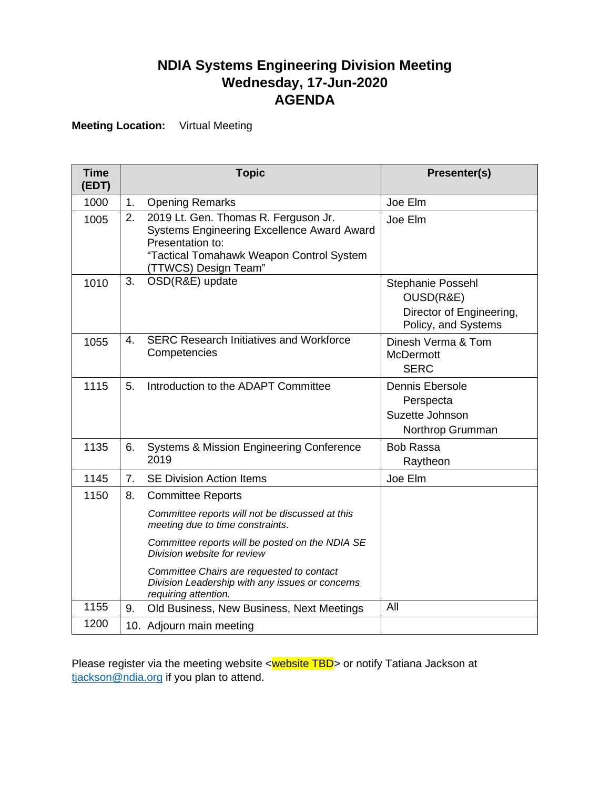## **NDIA Systems Engineering Division Meeting Wednesday, 17-Jun-2020 AGENDA**

**Meeting Location:** Virtual Meeting

| <b>Time</b><br>(EDT) |                | <b>Topic</b>                                                                                                                                                                      | Presenter(s)                                                                      |
|----------------------|----------------|-----------------------------------------------------------------------------------------------------------------------------------------------------------------------------------|-----------------------------------------------------------------------------------|
| 1000                 | 1.             | <b>Opening Remarks</b>                                                                                                                                                            | Joe Elm                                                                           |
| 1005                 | 2.             | 2019 Lt. Gen. Thomas R. Ferguson Jr.<br><b>Systems Engineering Excellence Award Award</b><br>Presentation to:<br>"Tactical Tomahawk Weapon Control System<br>(TTWCS) Design Team" | Joe Elm                                                                           |
| 1010                 | 3.             | OSD(R&E) update                                                                                                                                                                   | Stephanie Possehl<br>OUSD(R&E)<br>Director of Engineering,<br>Policy, and Systems |
| 1055                 | 4.             | <b>SERC Research Initiatives and Workforce</b><br>Competencies                                                                                                                    | Dinesh Verma & Tom<br><b>McDermott</b><br><b>SERC</b>                             |
| 1115                 | 5.             | Introduction to the ADAPT Committee                                                                                                                                               | <b>Dennis Ebersole</b><br>Perspecta<br>Suzette Johnson<br>Northrop Grumman        |
| 1135                 | 6.             | <b>Systems &amp; Mission Engineering Conference</b><br>2019                                                                                                                       | <b>Bob Rassa</b><br>Raytheon                                                      |
| 1145                 | 7 <sub>1</sub> | <b>SE Division Action Items</b>                                                                                                                                                   | Joe Elm                                                                           |
| 1150                 | 8.             | <b>Committee Reports</b>                                                                                                                                                          |                                                                                   |
|                      |                | Committee reports will not be discussed at this<br>meeting due to time constraints.                                                                                               |                                                                                   |
|                      |                | Committee reports will be posted on the NDIA SE<br>Division website for review                                                                                                    |                                                                                   |
|                      |                | Committee Chairs are requested to contact<br>Division Leadership with any issues or concerns<br>requiring attention.                                                              |                                                                                   |
| 1155                 | 9.             | Old Business, New Business, Next Meetings                                                                                                                                         | All                                                                               |
| 1200                 |                | 10. Adjourn main meeting                                                                                                                                                          |                                                                                   |

Please register via the meeting website <website TBD> or notify Tatiana Jackson at [tjackson@ndia.org](mailto:tjackson@ndia.org) if you plan to attend.